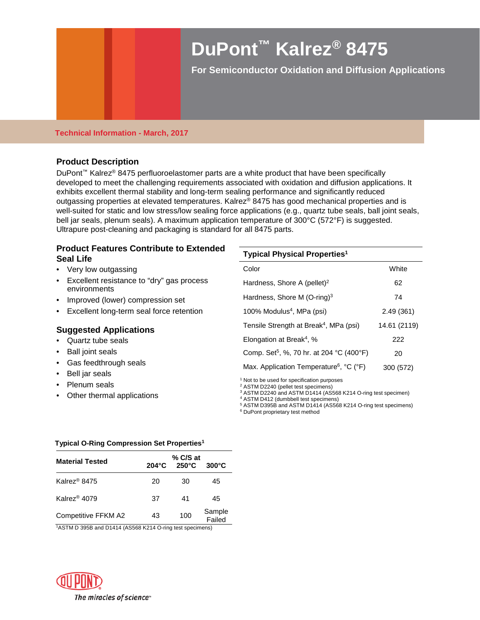# **DuPont™ Kalrez® 8475**

**For Semiconductor Oxidation and Diffusion Applications** 

### **Technical Information - March, 2017**

## **Product Description**

DuPont<sup>™</sup> Kalrez<sup>®</sup> 8475 perfluoroelastomer parts are a white product that have been specifically developed to meet the challenging requirements associated with oxidation and diffusion applications. It exhibits excellent thermal stability and long-term sealing performance and significantly reduced outgassing properties at elevated temperatures. Kalrez® 8475 has good mechanical properties and is well-suited for static and low stress/low sealing force applications (e.g., quartz tube seals, ball joint seals, bell jar seals, plenum seals). A maximum application temperature of 300°C (572°F) is suggested. Ultrapure post-cleaning and packaging is standard for all 8475 parts.

## **Product Features Contribute to Extended Seal Life**

- Very low outgassing
- Excellent resistance to "dry" gas process environments
- Improved (lower) compression set
- Excellent long-term seal force retention

## **Suggested Applications**

- Quartz tube seals
- Ball joint seals
- Gas feedthrough seals
- Bell jar seals
- Plenum seals
- Other thermal applications

| <b>Typical Physical Properties<sup>1</sup></b>       |              |  |  |  |
|------------------------------------------------------|--------------|--|--|--|
| Color                                                | White        |  |  |  |
| Hardness, Shore A (pellet) <sup>2</sup>              | 62           |  |  |  |
| Hardness, Shore M $(O\text{-ring})^3$                | 74           |  |  |  |
| 100% Modulus <sup>4</sup> , MPa (psi)                | 2.49(361)    |  |  |  |
| Tensile Strength at Break <sup>4</sup> , MPa (psi)   | 14.61 (2119) |  |  |  |
| Elongation at Break <sup>4</sup> , %                 | 222          |  |  |  |
| Comp. Set <sup>5</sup> , %, 70 hr. at 204 °C (400°F) | 20           |  |  |  |
| Max. Application Temperature <sup>6</sup> , °C (°F)  | 300 (572)    |  |  |  |

<sup>1</sup> Not to be used for specification purposes

<sup>2</sup> ASTM D2240 (pellet test specimens)

<sup>3</sup> ASTM D2240 and ASTM D1414 (AS568 K214 O-ring test specimen)

<sup>4</sup> ASTM D412 (dumbbell test specimens)

<sup>5</sup> ASTM D395B and ASTM D1414 (AS568 K214 O-ring test specimens) <sup>6</sup> DuPont proprietary test method

#### **Typical O-Ring Compression Set Properties1**

| <b>Material Tested</b>   | $204^{\circ}$ C | % C/S at<br>$250^{\circ}$ C | $300^{\circ}$ C  |
|--------------------------|-----------------|-----------------------------|------------------|
| Kalrez <sup>®</sup> 8475 | 20              | 30                          | 45               |
| Kalrez <sup>®</sup> 4079 | 37              | 41                          | 45               |
| Competitive FFKM A2      | 43              | 100                         | Sample<br>Failed |

1 ASTM D 395B and D1414 (AS568 K214 O-ring test specimens)